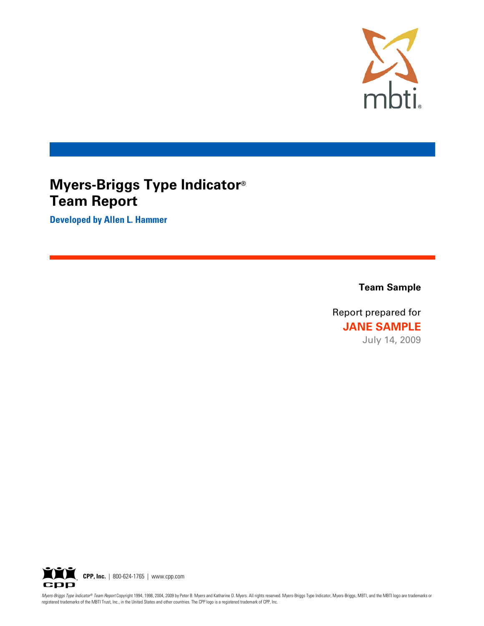

# **Myers-Briggs Type Indicator**® **Team Report**

**Developed by Allen L. Hammer**

**Team Sample** 

Report prepared for **JANE SAMPLE** July 14, 2009

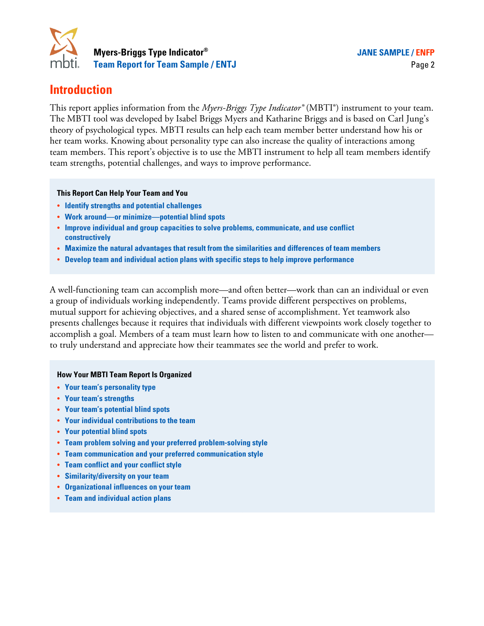

# **Introduction**

This report applies information from the *Myers-Briggs Type Indicator®* (MBTI®) instrument to your team. The MBTI tool was developed by Isabel Briggs Myers and Katharine Briggs and is based on Carl Jung's theory of psychological types. MBTI results can help each team member better understand how his or her team works. Knowing about personality type can also increase the quality of interactions among team members. This report's objective is to use the MBTI instrument to help all team members identify team strengths, potential challenges, and ways to improve performance.

#### **This Report Can Help Your Team and You**

- � **Identify strengths and potential challenges**
- � **Work around—or minimize—potential blind spots**
- � **Improve individual and group capacities to solve problems, communicate, and use conflict constructively**
- � **Maximize the natural advantages that result from the similarities and differences of team members**
- � **Develop team and individual action plans with specific steps to help improve performance**

A well-functioning team can accomplish more—and often better—work than can an individual or even a group of individuals working independently. Teams provide different perspectives on problems, mutual support for achieving objectives, and a shared sense of accomplishment. Yet teamwork also presents challenges because it requires that individuals with different viewpoints work closely together to accomplish a goal. Members of a team must learn how to listen to and communicate with one another to truly understand and appreciate how their teammates see the world and prefer to work.

#### **How Your MBTI Team Report Is Organized**

- � **Your team's personality type**
- � **Your team's strengths**
- � **Your team's potential blind spots**
- � **Your individual contributions to the team**
- � **Your potential blind spots**
- � **Team problem solving and your preferred problem-solving style**
- � **Team communication and your preferred communication style**
- � **Team conflict and your conflict style**
- � **Similarity/diversity on your team**
- � **Organizational influences on your team**
- � **Team and individual action plans**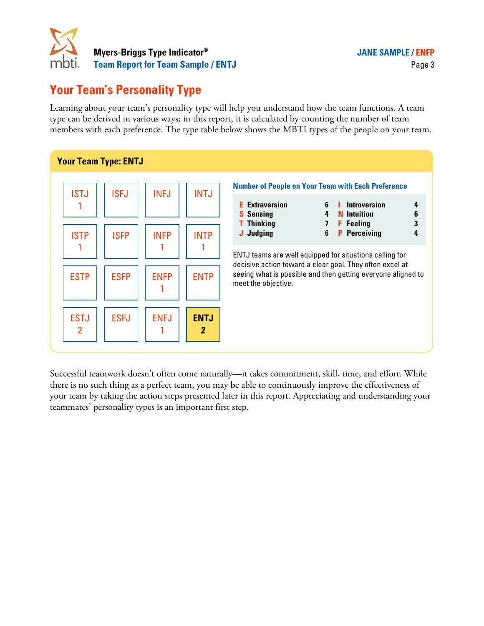

# **Your Team's Personality Type**

Learning about your team's personality type will help you understand how the team functions. A team type can be derived in various ways; in this report, it is calculated by counting the number of team members with each preference. The type table below shows the MBTI types of the people on your team.



Successful teamwork doesn't often come naturally—it takes commitment, skill, time, and effort. While there is no such thing as a perfect team, you may be able to continuously improve the effectiveness of your team by taking the action steps presented later in this report. Appreciating and understanding your teammates' personality types is an important first step.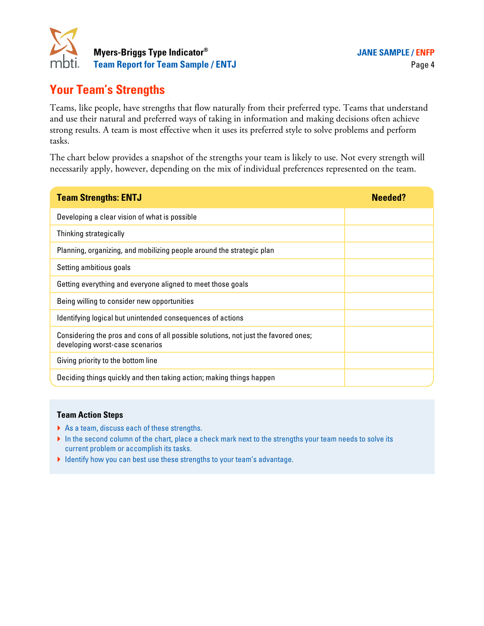

# **Your Team's Strengths**

Teams, like people, have strengths that flow naturally from their preferred type. Teams that understand and use their natural and preferred ways of taking in information and making decisions often achieve strong results. A team is most effective when it uses its preferred style to solve problems and perform tasks.

The chart below provides a snapshot of the strengths your team is likely to use. Not every strength will necessarily apply, however, depending on the mix of individual preferences represented on the team.

| <b>Team Strengths: ENTJ</b>                                                                                            | <b>Needed?</b> |
|------------------------------------------------------------------------------------------------------------------------|----------------|
| Developing a clear vision of what is possible                                                                          |                |
| Thinking strategically                                                                                                 |                |
| Planning, organizing, and mobilizing people around the strategic plan                                                  |                |
| Setting ambitious goals                                                                                                |                |
| Getting everything and everyone aligned to meet those goals                                                            |                |
| Being willing to consider new opportunities                                                                            |                |
| Identifying logical but unintended consequences of actions                                                             |                |
| Considering the pros and cons of all possible solutions, not just the favored ones;<br>developing worst-case scenarios |                |
| Giving priority to the bottom line                                                                                     |                |
| Deciding things quickly and then taking action; making things happen                                                   |                |

- ▶ As a team, discuss each of these strengths.
- In the second column of the chart, place a check mark next to the strengths your team needs to solve its current problem or accomplish its tasks.
- � Identify how you can best use these strengths to your team's advantage.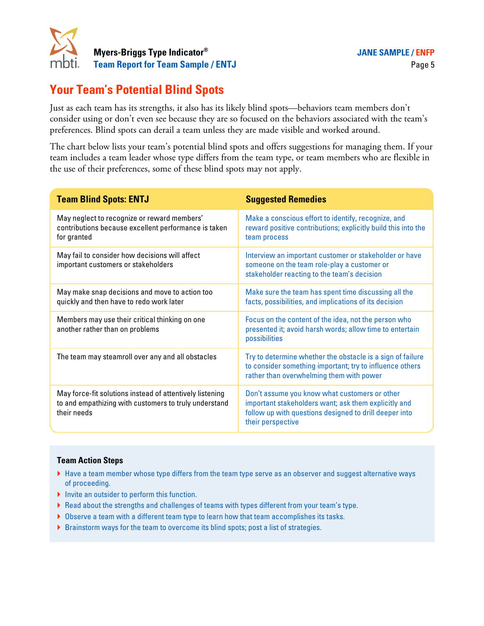

# **Your Team's Potential Blind Spots**

Just as each team has its strengths, it also has its likely blind spots—behaviors team members don't consider using or don't even see because they are so focused on the behaviors associated with the team's preferences. Blind spots can derail a team unless they are made visible and worked around.

The chart below lists your team's potential blind spots and offers suggestions for managing them. If your team includes a team leader whose type differs from the team type, or team members who are flexible in the use of their preferences, some of these blind spots may not apply.

| <b>Team Blind Spots: ENTJ</b>                                                                                                    | <b>Suggested Remedies</b>                                                                                                                                                            |
|----------------------------------------------------------------------------------------------------------------------------------|--------------------------------------------------------------------------------------------------------------------------------------------------------------------------------------|
| May neglect to recognize or reward members'<br>contributions because excellent performance is taken<br>for granted               | Make a conscious effort to identify, recognize, and<br>reward positive contributions; explicitly build this into the<br>team process                                                 |
| May fail to consider how decisions will affect<br>important customers or stakeholders                                            | Interview an important customer or stakeholder or have<br>someone on the team role-play a customer or<br>stakeholder reacting to the team's decision                                 |
| May make snap decisions and move to action too<br>quickly and then have to redo work later                                       | Make sure the team has spent time discussing all the<br>facts, possibilities, and implications of its decision                                                                       |
| Members may use their critical thinking on one<br>another rather than on problems                                                | Focus on the content of the idea, not the person who<br>presented it; avoid harsh words; allow time to entertain<br>possibilities                                                    |
| The team may steamroll over any and all obstacles                                                                                | Try to determine whether the obstacle is a sign of failure<br>to consider something important; try to influence others<br>rather than overwhelming them with power                   |
| May force-fit solutions instead of attentively listening<br>to and empathizing with customers to truly understand<br>their needs | Don't assume you know what customers or other<br>important stakeholders want; ask them explicitly and<br>follow up with questions designed to drill deeper into<br>their perspective |

- � Have a team member whose type differs from the team type serve as an observer and suggest alternative ways of proceeding.
- � Invite an outsider to perform this function.
- � Read about the strengths and challenges of teams with types different from your team's type.
- ▶ Observe a team with a different team type to learn how that team accomplishes its tasks.
- � Brainstorm ways for the team to overcome its blind spots; post a list of strategies.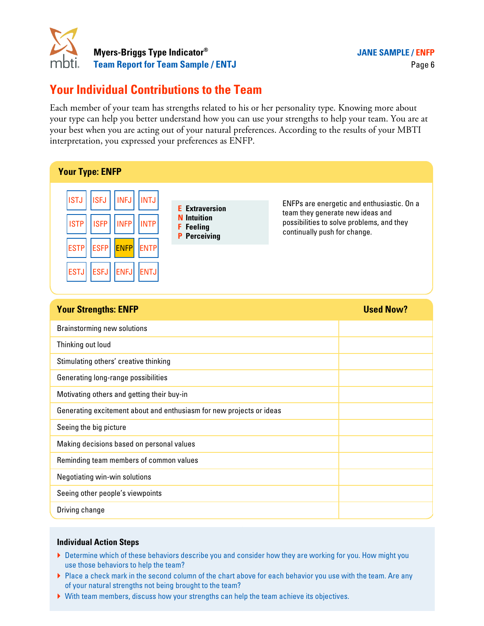

# **Your Individual Contributions to the Team**

Each member of your team has strengths related to his or her personality type. Knowing more about your type can help you better understand how you can use your strengths to help your team. You are at your best when you are acting out of your natural preferences. According to the results of your MBTI interpretation, you expressed your preferences as ENFP.

| <b>Your Type: ENFP</b>                                                                                                                                                                                                                                                                                                                      |                                                                                                                                                             |  |  |
|---------------------------------------------------------------------------------------------------------------------------------------------------------------------------------------------------------------------------------------------------------------------------------------------------------------------------------------------|-------------------------------------------------------------------------------------------------------------------------------------------------------------|--|--|
| <b>ISFJ</b><br><b>INFJ</b><br><b>INTJ</b><br><b>ISTJ</b><br><b>Extraversion</b><br>F.<br><b>Intuition</b><br><b>ISTP</b><br><b>ISFP</b><br><b>INTP</b><br><b>INFP</b><br><b>Feeling</b><br>F<br><b>P</b> Perceiving<br><b>ESFP</b><br><b>ENFP</b><br><b>ESTP</b><br><b>ENTP</b><br><b>ESTJ</b><br><b>ESFJ</b><br><b>ENFJ</b><br><b>ENTJ</b> | ENFPs are energetic and enthusiastic. On a<br>team they generate new ideas and<br>possibilities to solve problems, and they<br>continually push for change. |  |  |
| <b>Used Now?</b><br><b>Your Strengths: ENFP</b>                                                                                                                                                                                                                                                                                             |                                                                                                                                                             |  |  |
| <b>Brainstorming new solutions</b>                                                                                                                                                                                                                                                                                                          |                                                                                                                                                             |  |  |
| Thinking out loud                                                                                                                                                                                                                                                                                                                           |                                                                                                                                                             |  |  |
| Stimulating others' creative thinking                                                                                                                                                                                                                                                                                                       |                                                                                                                                                             |  |  |
| Generating long-range possibilities                                                                                                                                                                                                                                                                                                         |                                                                                                                                                             |  |  |
| Motivating others and getting their buy-in                                                                                                                                                                                                                                                                                                  |                                                                                                                                                             |  |  |
| Generating excitement about and enthusiasm for new projects or ideas                                                                                                                                                                                                                                                                        |                                                                                                                                                             |  |  |
| Seeing the big picture                                                                                                                                                                                                                                                                                                                      |                                                                                                                                                             |  |  |
| Making decisions based on personal values                                                                                                                                                                                                                                                                                                   |                                                                                                                                                             |  |  |
| Reminding team members of common values                                                                                                                                                                                                                                                                                                     |                                                                                                                                                             |  |  |
| Negotiating win-win solutions                                                                                                                                                                                                                                                                                                               |                                                                                                                                                             |  |  |
| Seeing other people's viewpoints                                                                                                                                                                                                                                                                                                            |                                                                                                                                                             |  |  |
| Driving change                                                                                                                                                                                                                                                                                                                              |                                                                                                                                                             |  |  |

- ▶ Determine which of these behaviors describe you and consider how they are working for you. How might you use those behaviors to help the team?
- ▶ Place a check mark in the second column of the chart above for each behavior you use with the team. Are any of your natural strengths not being brought to the team?
- � With team members, discuss how your strengths can help the team achieve its objectives.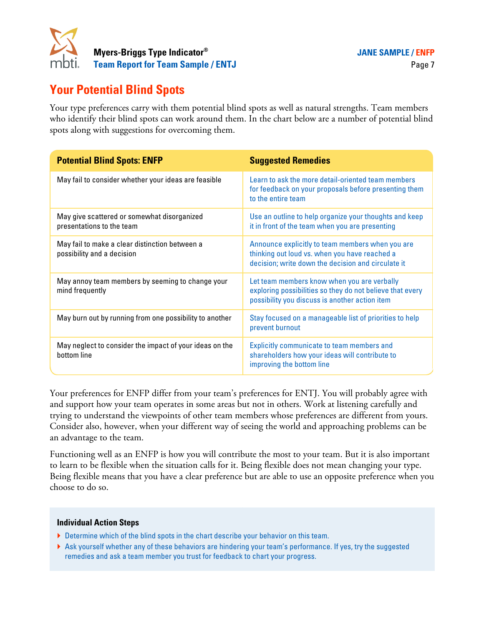

# **Your Potential Blind Spots**

Your type preferences carry with them potential blind spots as well as natural strengths. Team members who identify their blind spots can work around them. In the chart below are a number of potential blind spots along with suggestions for overcoming them.

| <b>Potential Blind Spots: ENFP</b>                                           | <b>Suggested Remedies</b>                                                                                                                                  |
|------------------------------------------------------------------------------|------------------------------------------------------------------------------------------------------------------------------------------------------------|
| May fail to consider whether your ideas are feasible                         | Learn to ask the more detail-oriented team members<br>for feedback on your proposals before presenting them<br>to the entire team                          |
| May give scattered or somewhat disorganized<br>presentations to the team     | Use an outline to help organize your thoughts and keep<br>it in front of the team when you are presenting                                                  |
| May fail to make a clear distinction between a<br>possibility and a decision | Announce explicitly to team members when you are<br>thinking out loud vs. when you have reached a<br>decision; write down the decision and circulate it    |
| May annoy team members by seeming to change your<br>mind frequently          | Let team members know when you are verbally<br>exploring possibilities so they do not believe that every<br>possibility you discuss is another action item |
| May burn out by running from one possibility to another                      | Stay focused on a manageable list of priorities to help<br>prevent burnout                                                                                 |
| May neglect to consider the impact of your ideas on the<br>bottom line       | Explicitly communicate to team members and<br>shareholders how your ideas will contribute to<br>improving the bottom line                                  |

Your preferences for ENFP differ from your team's preferences for ENTJ. You will probably agree with and support how your team operates in some areas but not in others. Work at listening carefully and trying to understand the viewpoints of other team members whose preferences are different from yours. Consider also, however, when your different way of seeing the world and approaching problems can be an advantage to the team.

Functioning well as an ENFP is how you will contribute the most to your team. But it is also important to learn to be flexible when the situation calls for it. Being flexible does not mean changing your type. Being flexible means that you have a clear preference but are able to use an opposite preference when you choose to do so.

- ▶ Determine which of the blind spots in the chart describe your behavior on this team.
- � Ask yourself whether any of these behaviors are hindering your team's performance. If yes, try the suggested remedies and ask a team member you trust for feedback to chart your progress.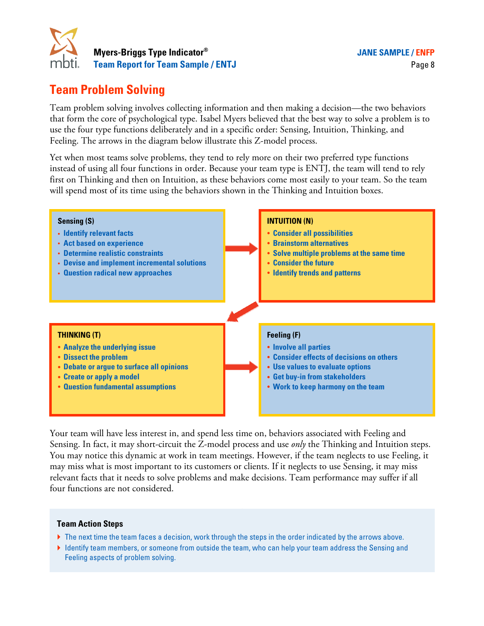

# **Team Problem Solving**

Team problem solving involves collecting information and then making a decision—the two behaviors that form the core of psychological type. Isabel Myers believed that the best way to solve a problem is to use the four type functions deliberately and in a specific order: Sensing, Intuition, Thinking, and Feeling. The arrows in the diagram below illustrate this Z-model process.

Yet when most teams solve problems, they tend to rely more on their two preferred type functions instead of using all four functions in order. Because your team type is ENTJ, the team will tend to rely first on Thinking and then on Intuition, as these behaviors come most easily to your team. So the team will spend most of its time using the behaviors shown in the Thinking and Intuition boxes.



Your team will have less interest in, and spend less time on, behaviors associated with Feeling and Sensing. In fact, it may short-circuit the Z-model process and use *only* the Thinking and Intuition steps. You may notice this dynamic at work in team meetings. However, if the team neglects to use Feeling, it may miss what is most important to its customers or clients. If it neglects to use Sensing, it may miss relevant facts that it needs to solve problems and make decisions. Team performance may suffer if all four functions are not considered.

- ▶ The next time the team faces a decision, work through the steps in the order indicated by the arrows above.
- � Identify team members, or someone from outside the team, who can help your team address the Sensing and Feeling aspects of problem solving.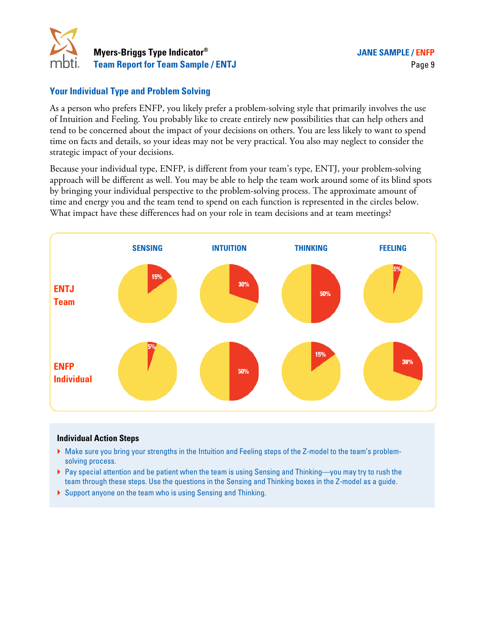

### **Your Individual Type and Problem Solving**

As a person who prefers ENFP, you likely prefer a problem-solving style that primarily involves the use of Intuition and Feeling. You probably like to create entirely new possibilities that can help others and tend to be concerned about the impact of your decisions on others. You are less likely to want to spend time on facts and details, so your ideas may not be very practical. You also may neglect to consider the strategic impact of your decisions.

Because your individual type, ENFP, is different from your team's type, ENTJ, your problem-solving approach will be different as well. You may be able to help the team work around some of its blind spots by bringing your individual perspective to the problem-solving process. The approximate amount of time and energy you and the team tend to spend on each function is represented in the circles below. What impact have these differences had on your role in team decisions and at team meetings?



- � Make sure you bring your strengths in the Intuition and Feeling steps of the Z-model to the team's problemsolving process.
- ▶ Pay special attention and be patient when the team is using Sensing and Thinking—you may try to rush the team through these steps. Use the questions in the Sensing and Thinking boxes in the Z-model as a guide.
- � Support anyone on the team who is using Sensing and Thinking.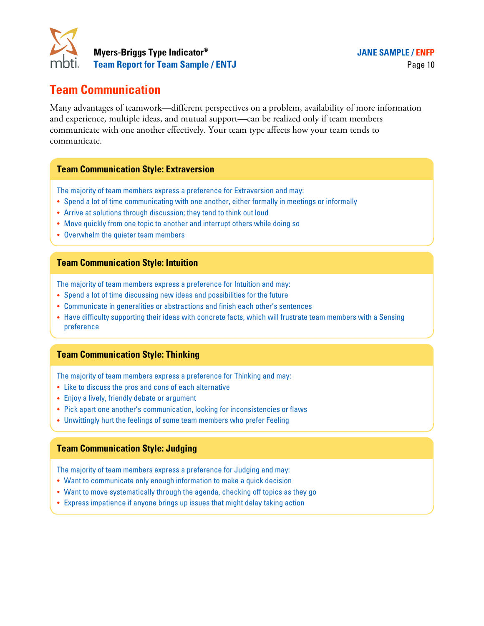

# **Team Communication**

Many advantages of teamwork—different perspectives on a problem, availability of more information and experience, multiple ideas, and mutual support—can be realized only if team members communicate with one another effectively. Your team type affects how your team tends to communicate.

#### **Team Communication Style: Extraversion**

The majority of team members express a preference for Extraversion and may:

- � Spend a lot of time communicating with one another, either formally in meetings or informally
- � Arrive at solutions through discussion; they tend to think out loud
- Move quickly from one topic to another and interrupt others while doing so
- Overwhelm the quieter team members

#### **Team Communication Style: Intuition**

The majority of team members express a preference for Intuition and may:

- � Spend a lot of time discussing new ideas and possibilities for the future
- � Communicate in generalities or abstractions and finish each other's sentences
- � Have difficulty supporting their ideas with concrete facts, which will frustrate team members with a Sensing preference

#### **Team Communication Style: Thinking**

The majority of team members express a preference for Thinking and may:

- � Like to discuss the pros and cons of each alternative
- � Enjoy a lively, friendly debate or argument
- � Pick apart one another's communication, looking for inconsistencies or flaws
- � Unwittingly hurt the feelings of some team members who prefer Feeling

#### **Team Communication Style: Judging**

The majority of team members express a preference for Judging and may:

- Want to communicate only enough information to make a quick decision
- Want to move systematically through the agenda, checking off topics as they go
- � Express impatience if anyone brings up issues that might delay taking action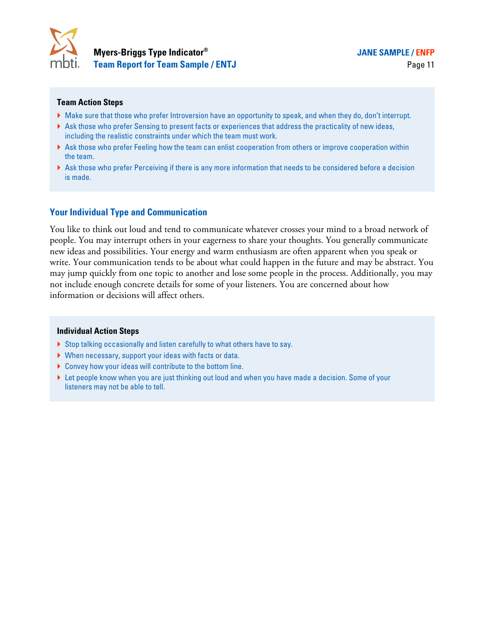

#### **Team Action Steps**

- � Make sure that those who prefer Introversion have an opportunity to speak, and when they do, don't interrupt.
- � Ask those who prefer Sensing to present facts or experiences that address the practicality of new ideas, including the realistic constraints under which the team must work.
- � Ask those who prefer Feeling how the team can enlist cooperation from others or improve cooperation within the team.
- � Ask those who prefer Perceiving if there is any more information that needs to be considered before a decision is made.

#### **Your Individual Type and Communication**

You like to think out loud and tend to communicate whatever crosses your mind to a broad network of people. You may interrupt others in your eagerness to share your thoughts. You generally communicate new ideas and possibilities. Your energy and warm enthusiasm are often apparent when you speak or write. Your communication tends to be about what could happen in the future and may be abstract. You may jump quickly from one topic to another and lose some people in the process. Additionally, you may not include enough concrete details for some of your listeners. You are concerned about how information or decisions will affect others.

- ▶ Stop talking occasionally and listen carefully to what others have to say.
- � When necessary, support your ideas with facts or data.
- � Convey how your ideas will contribute to the bottom line.
- ▶ Let people know when you are just thinking out loud and when you have made a decision. Some of your listeners may not be able to tell.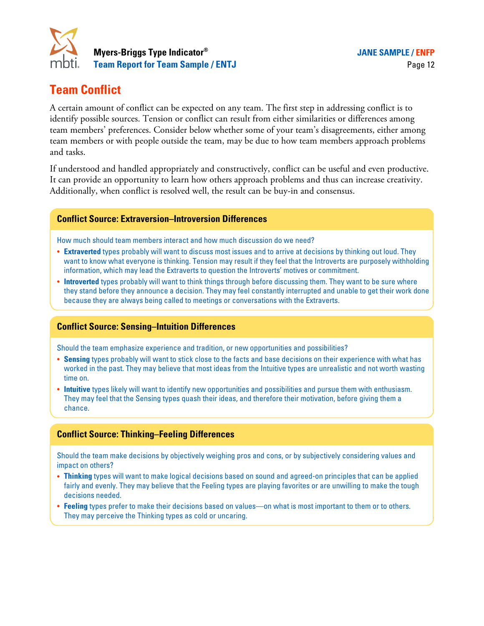

# **Team Conflict**

A certain amount of conflict can be expected on any team. The first step in addressing conflict is to identify possible sources. Tension or conflict can result from either similarities or differences among team members' preferences. Consider below whether some of your team's disagreements, either among team members or with people outside the team, may be due to how team members approach problems and tasks.

If understood and handled appropriately and constructively, conflict can be useful and even productive. It can provide an opportunity to learn how others approach problems and thus can increase creativity. Additionally, when conflict is resolved well, the result can be buy-in and consensus.

### **Conflict Source: Extraversion–Introversion Differences**

How much should team members interact and how much discussion do we need?

- � **Extraverted** types probably will want to discuss most issues and to arrive at decisions by thinking out loud. They want to know what everyone is thinking. Tension may result if they feel that the Introverts are purposely withholding information, which may lead the Extraverts to question the Introverts' motives or commitment.
- � **Introverted** types probably will want to think things through before discussing them. They want to be sure where they stand before they announce a decision. They may feel constantly interrupted and unable to get their work done because they are always being called to meetings or conversations with the Extraverts.

#### **Conflict Source: Sensing–Intuition Differences**

Should the team emphasize experience and tradition, or new opportunities and possibilities?

- � **Sensing** types probably will want to stick close to the facts and base decisions on their experience with what has worked in the past. They may believe that most ideas from the Intuitive types are unrealistic and not worth wasting time on.
- � **Intuitive** types likely will want to identify new opportunities and possibilities and pursue them with enthusiasm. They may feel that the Sensing types quash their ideas, and therefore their motivation, before giving them a chance.

### **Conflict Source: Thinking–Feeling Differences**

Should the team make decisions by objectively weighing pros and cons, or by subjectively considering values and impact on others?

- � **Thinking** types will want to make logical decisions based on sound and agreed-on principles that can be applied fairly and evenly. They may believe that the Feeling types are playing favorites or are unwilling to make the tough decisions needed.
- � **Feeling** types prefer to make their decisions based on values—on what is most important to them or to others. They may perceive the Thinking types as cold or uncaring.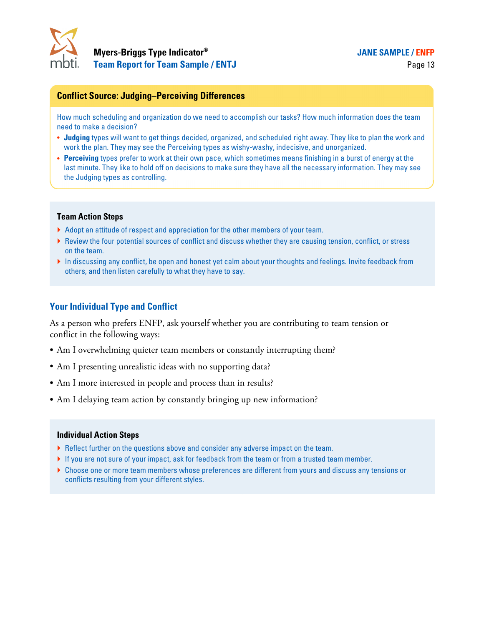

#### **JANE SAMPLE / ENFP**

#### **Conflict Source: Judging–Perceiving Differences**

How much scheduling and organization do we need to accomplish our tasks? How much information does the team need to make a decision?

- � **Judging** types will want to get things decided, organized, and scheduled right away. They like to plan the work and work the plan. They may see the Perceiving types as wishy-washy, indecisive, and unorganized.
- � **Perceiving** types prefer to work at their own pace, which sometimes means finishing in a burst of energy at the last minute. They like to hold off on decisions to make sure they have all the necessary information. They may see the Judging types as controlling.

#### **Team Action Steps**

- � Adopt an attitude of respect and appreciation for the other members of your team.
- ▶ Review the four potential sources of conflict and discuss whether they are causing tension, conflict, or stress on the team.
- � In discussing any conflict, be open and honest yet calm about your thoughts and feelings. Invite feedback from others, and then listen carefully to what they have to say.

#### **Your Individual Type and Conflict**

As a person who prefers ENFP, ask yourself whether you are contributing to team tension or conflict in the following ways:

- � Am I overwhelming quieter team members or constantly interrupting them?
- � Am I presenting unrealistic ideas with no supporting data?
- � Am I more interested in people and process than in results?
- � Am I delaying team action by constantly bringing up new information?

- ▶ Reflect further on the questions above and consider any adverse impact on the team.
- � If you are not sure of your impact, ask for feedback from the team or from a trusted team member.
- � Choose one or more team members whose preferences are different from yours and discuss any tensions or conflicts resulting from your different styles.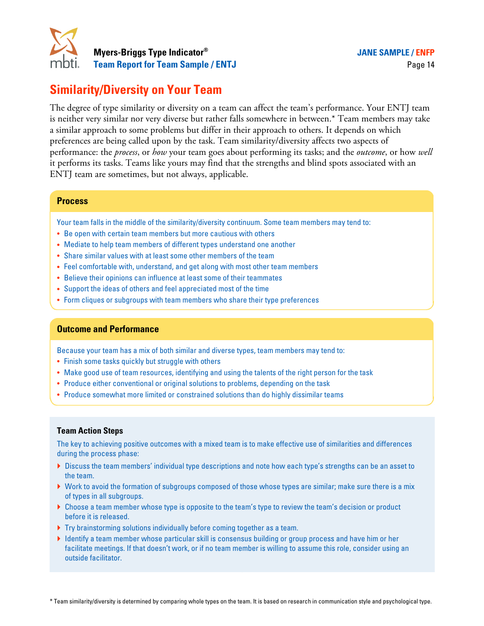

# **Similarity/Diversity on Your Team**

The degree of type similarity or diversity on a team can affect the team's performance. Your ENTJ team is neither very similar nor very diverse but rather falls somewhere in between.\* Team members may take a similar approach to some problems but differ in their approach to others. It depends on which preferences are being called upon by the task. Team similarity/diversity affects two aspects of performance: the *process*, or *how* your team goes about performing its tasks; and the *outcome*, or how *well* it performs its tasks. Teams like yours may find that the strengths and blind spots associated with an ENTJ team are sometimes, but not always, applicable.

#### **Process**

Your team falls in the middle of the similarity/diversity continuum. Some team members may tend to:

- � Be open with certain team members but more cautious with others
- Mediate to help team members of different types understand one another
- � Share similar values with at least some other members of the team
- � Feel comfortable with, understand, and get along with most other team members
- � Believe their opinions can influence at least some of their teammates
- � Support the ideas of others and feel appreciated most of the time
- � Form cliques or subgroups with team members who share their type preferences

#### **Outcome and Performance**

Because your team has a mix of both similar and diverse types, team members may tend to:

- Finish some tasks quickly but struggle with others
- � Make good use of team resources, identifying and using the talents of the right person for the task
- � Produce either conventional or original solutions to problems, depending on the task
- � Produce somewhat more limited or constrained solutions than do highly dissimilar teams

#### **Team Action Steps**

The key to achieving positive outcomes with a mixed team is to make effective use of similarities and differences during the process phase:

- � Discuss the team members' individual type descriptions and note how each type's strengths can be an asset to the team.
- � Work to avoid the formation of subgroups composed of those whose types are similar; make sure there is a mix of types in all subgroups.
- ▶ Choose a team member whose type is opposite to the team's type to review the team's decision or product before it is released.
- � Try brainstorming solutions individually before coming together as a team.
- � Identify a team member whose particular skill is consensus building or group process and have him or her facilitate meetings. If that doesn't work, or if no team member is willing to assume this role, consider using an outside facilitator.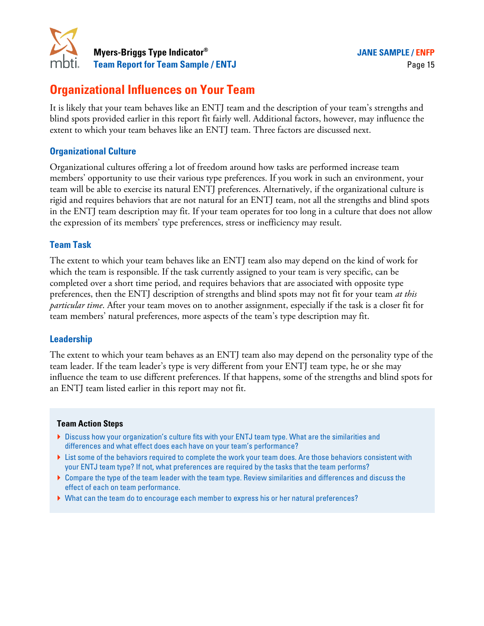

# **Organizational Influences on Your Team**

It is likely that your team behaves like an ENTJ team and the description of your team's strengths and blind spots provided earlier in this report fit fairly well. Additional factors, however, may influence the extent to which your team behaves like an ENTJ team. Three factors are discussed next.

### **Organizational Culture**

Organizational cultures offering a lot of freedom around how tasks are performed increase team members' opportunity to use their various type preferences. If you work in such an environment, your team will be able to exercise its natural ENTJ preferences. Alternatively, if the organizational culture is rigid and requires behaviors that are not natural for an ENTJ team, not all the strengths and blind spots in the ENTJ team description may fit. If your team operates for too long in a culture that does not allow the expression of its members' type preferences, stress or inefficiency may result.

### **Team Task**

The extent to which your team behaves like an ENTJ team also may depend on the kind of work for which the team is responsible. If the task currently assigned to your team is very specific, can be completed over a short time period, and requires behaviors that are associated with opposite type preferences, then the ENTJ description of strengths and blind spots may not fit for your team *at this particular time*. After your team moves on to another assignment, especially if the task is a closer fit for team members' natural preferences, more aspects of the team's type description may fit.

### **Leadership**

The extent to which your team behaves as an ENTJ team also may depend on the personality type of the team leader. If the team leader's type is very different from your ENTJ team type, he or she may influence the team to use different preferences. If that happens, some of the strengths and blind spots for an ENTJ team listed earlier in this report may not fit.

- � Discuss how your organization's culture fits with your ENTJ team type. What are the similarities and differences and what effect does each have on your team's performance?
- ▶ List some of the behaviors required to complete the work your team does. Are those behaviors consistent with your ENTJ team type? If not, what preferences are required by the tasks that the team performs?
- � Compare the type of the team leader with the team type. Review similarities and differences and discuss the effect of each on team performance.
- � What can the team do to encourage each member to express his or her natural preferences?